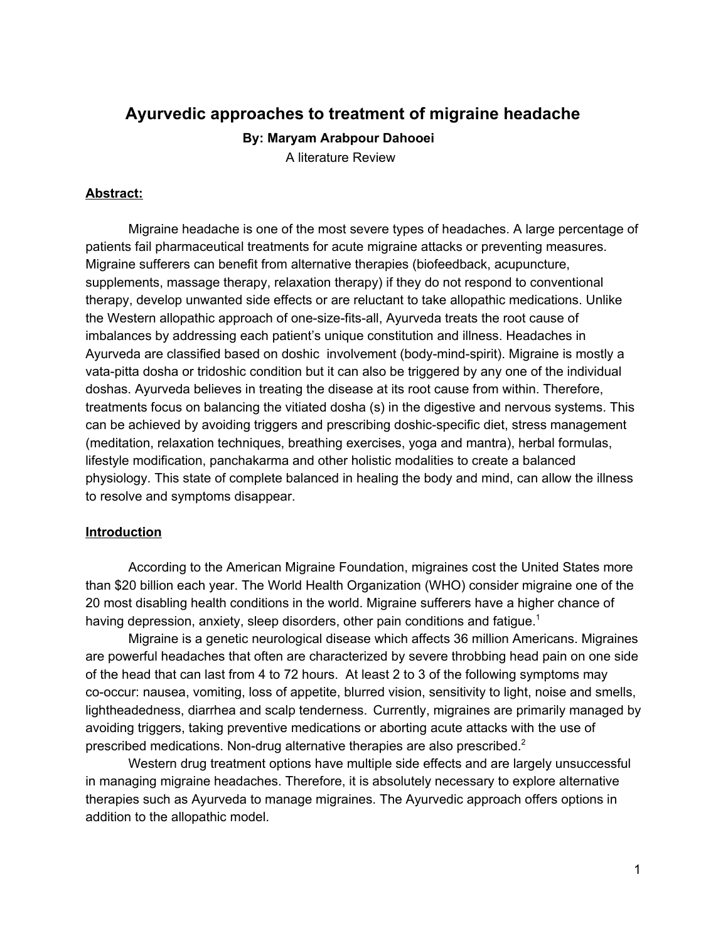# **Ayurvedic approaches to treatment of migraine headache**

**By: Maryam Arabpour Dahooei**

A literature Review

## **Abstract:**

Migraine headache is one of the most severe types of headaches. A large percentage of patients fail pharmaceutical treatments for acute migraine attacks or preventing measures. Migraine sufferers can benefit from alternative therapies (biofeedback, acupuncture, supplements, massage therapy, relaxation therapy) if they do not respond to conventional therapy, develop unwanted side effects or are reluctant to take allopathic medications. Unlike the Western allopathic approach of one-size-fits-all, Ayurveda treats the root cause of imbalances by addressing each patient's unique constitution and illness. Headaches in Ayurveda are classified based on doshic involvement (body-mind-spirit). Migraine is mostly a vata-pitta dosha or tridoshic condition but it can also be triggered by any one of the individual doshas. Ayurveda believes in treating the disease at its root cause from within. Therefore, treatments focus on balancing the vitiated dosha (s) in the digestive and nervous systems. This can be achieved by avoiding triggers and prescribing doshic-specific diet, stress management (meditation, relaxation techniques, breathing exercises, yoga and mantra), herbal formulas, lifestyle modification, panchakarma and other holistic modalities to create a balanced physiology. This state of complete balanced in healing the body and mind, can allow the illness to resolve and symptoms disappear.

## **Introduction**

According to the American Migraine Foundation, migraines cost the United States more than \$20 billion each year. The World Health Organization (WHO) consider migraine one of the 20 most disabling health conditions in the world. Migraine sufferers have a higher chance of having depression, anxiety, sleep disorders, other pain conditions and fatigue.<sup>1</sup>

Migraine is a genetic neurological disease which affects 36 million Americans. Migraines are powerful headaches that often are characterized by severe throbbing head pain on one side of the head that can last from 4 to 72 hours. At least 2 to 3 of the following symptoms may co-occur: nausea, vomiting, loss of appetite, blurred vision, sensitivity to light, noise and smells, lightheadedness, diarrhea and scalp tenderness. Currently, migraines are primarily managed by avoiding triggers, taking preventive medications or aborting acute attacks with the use of prescribed medications. Non-drug alternative therapies are also prescribed.<sup>2</sup>

Western drug treatment options have multiple side effects and are largely unsuccessful in managing migraine headaches. Therefore, it is absolutely necessary to explore alternative therapies such as Ayurveda to manage migraines. The Ayurvedic approach offers options in addition to the allopathic model.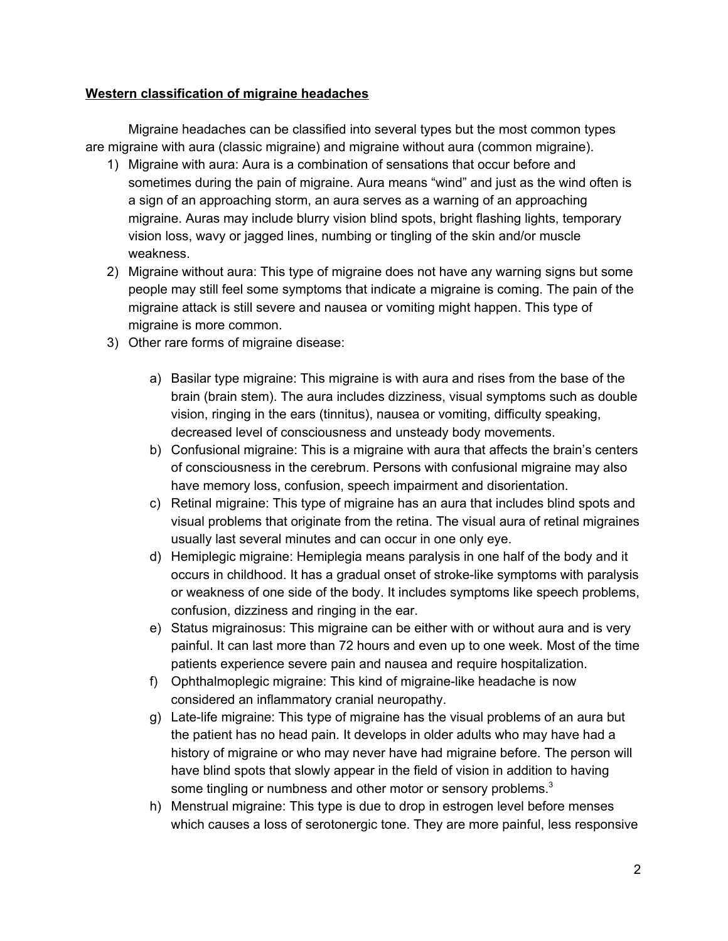#### **Western classification of migraine headaches**

Migraine headaches can be classified into several types but the most common types are migraine with aura (classic migraine) and migraine without aura (common migraine).

- 1) Migraine with aura: Aura is a combination of sensations that occur before and sometimes during the pain of migraine. Aura means "wind" and just as the wind often is a sign of an approaching storm, an aura serves as a warning of an approaching migraine. Auras may include blurry vision blind spots, bright flashing lights, temporary vision loss, wavy or jagged lines, numbing or tingling of the skin and/or muscle weakness.
- 2) Migraine without aura: This type of migraine does not have any warning signs but some people may still feel some symptoms that indicate a migraine is coming. The pain of the migraine attack is still severe and nausea or vomiting might happen. This type of migraine is more common.
- 3) Other rare forms of migraine disease:
	- a) Basilar type migraine: This migraine is with aura and rises from the base of the brain (brain stem). The aura includes dizziness, visual symptoms such as double vision, ringing in the ears (tinnitus), nausea or vomiting, difficulty speaking, decreased level of consciousness and unsteady body movements.
	- b) Confusional migraine: This is a migraine with aura that affects the brain's centers of consciousness in the cerebrum. Persons with confusional migraine may also have memory loss, confusion, speech impairment and disorientation.
	- c) Retinal migraine: This type of migraine has an aura that includes blind spots and visual problems that originate from the retina. The visual aura of retinal migraines usually last several minutes and can occur in one only eye.
	- d) Hemiplegic migraine: Hemiplegia means paralysis in one half of the body and it occurs in childhood. It has a gradual onset of stroke-like symptoms with paralysis or weakness of one side of the body. It includes symptoms like speech problems, confusion, dizziness and ringing in the ear.
	- e) Status migrainosus: This migraine can be either with or without aura and is very painful. It can last more than 72 hours and even up to one week. Most of the time patients experience severe pain and nausea and require hospitalization.
	- f) Ophthalmoplegic migraine: This kind of migraine-like headache is now considered an inflammatory cranial neuropathy.
	- g) Late-life migraine: This type of migraine has the visual problems of an aura but the patient has no head pain. It develops in older adults who may have had a history of migraine or who may never have had migraine before. The person will have blind spots that slowly appear in the field of vision in addition to having some tingling or numbness and other motor or sensory problems. $3$
	- h) Menstrual migraine: This type is due to drop in estrogen level before menses which causes a loss of serotonergic tone. They are more painful, less responsive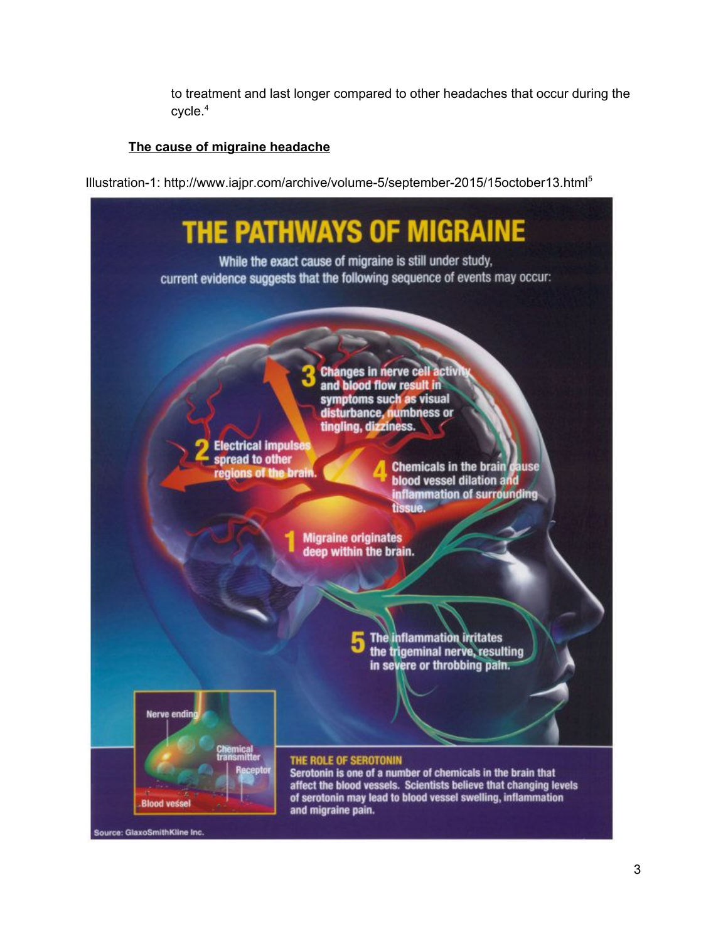to treatment and last longer compared to other headaches that occur during the cycle. 4

# **The cause of migraine headache**

Illustration-1: http://www.iajpr.com/archive/volume-5/september-2015/15october13.html 5

| <b>THE PATHWAYS OF MIGRAINE</b><br>While the exact cause of migraine is still under study,<br>current evidence suggests that the following sequence of events may occur:                                                                                                                                                                       |
|------------------------------------------------------------------------------------------------------------------------------------------------------------------------------------------------------------------------------------------------------------------------------------------------------------------------------------------------|
| <b>Changes in nerve cell activit</b><br>and blood flow result in<br>symptoms such as visual<br>disturbance, numbness or<br>tingling, dizziness.<br><b>Electrical impulses</b><br>spread to other<br><b>Chemicals in the brain cause</b><br>regions of the brain.<br><b>blood vessel dilation and</b><br>inflammation of surrounding<br>tissue. |
| <b>Migraine originates</b><br>deep within the brain.                                                                                                                                                                                                                                                                                           |
| The inflammation initates<br>the trigeminal nerve, resulting<br>in severe or throbbing pain.                                                                                                                                                                                                                                                   |
| <b>Nerve ending</b><br><b>Chemical</b><br>transmitter<br>THE ROLE OF SEROTONIN<br>Receptor                                                                                                                                                                                                                                                     |
| Serotonin is one of a number of chemicals in the brain that<br>affect the blood vessels. Scientists believe that changing levels<br><b>All Commercial</b><br>of serotonin may lead to blood vessel swelling, inflammation<br><b>Blood vessel</b><br>and migraine pain.<br>Source: GlaxoSmithKline Inc.                                         |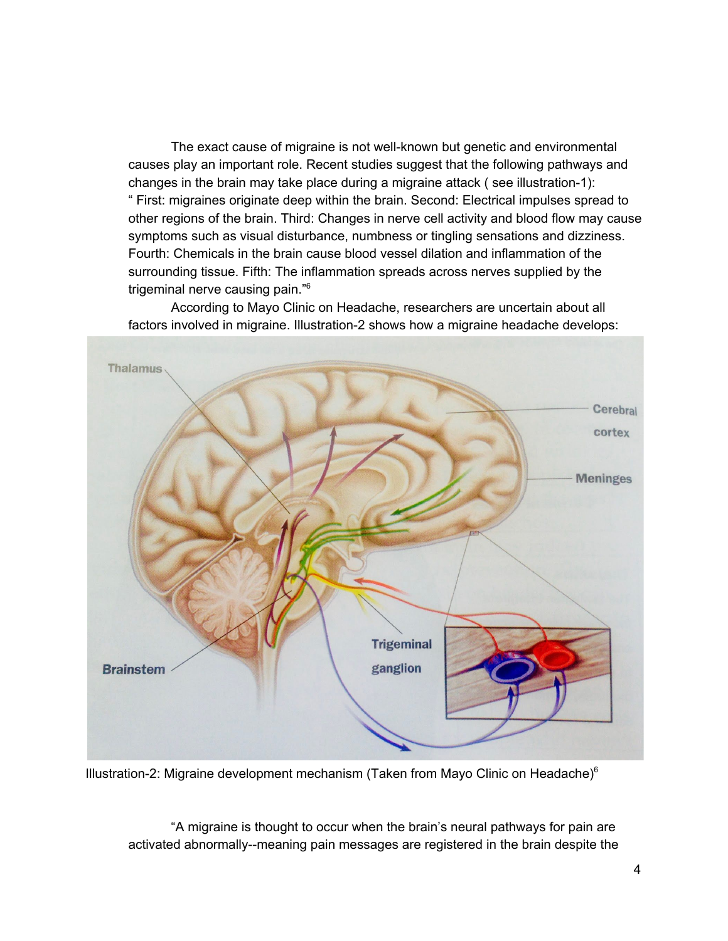The exact cause of migraine is not well-known but genetic and environmental causes play an important role. Recent studies suggest that the following pathways and changes in the brain may take place during a migraine attack ( see illustration-1): " First: migraines originate deep within the brain. Second: Electrical impulses spread to other regions of the brain. Third: Changes in nerve cell activity and blood flow may cause symptoms such as visual disturbance, numbness or tingling sensations and dizziness. Fourth: Chemicals in the brain cause blood vessel dilation and inflammation of the surrounding tissue. Fifth: The inflammation spreads across nerves supplied by the trigeminal nerve causing pain." 6

According to Mayo Clinic on Headache, researchers are uncertain about all factors involved in migraine. Illustration-2 shows how a migraine headache develops:



Illustration-2: Migraine development mechanism (Taken from Mayo Clinic on Headache) $6$ 

"A migraine is thought to occur when the brain's neural pathways for pain are activated abnormally--meaning pain messages are registered in the brain despite the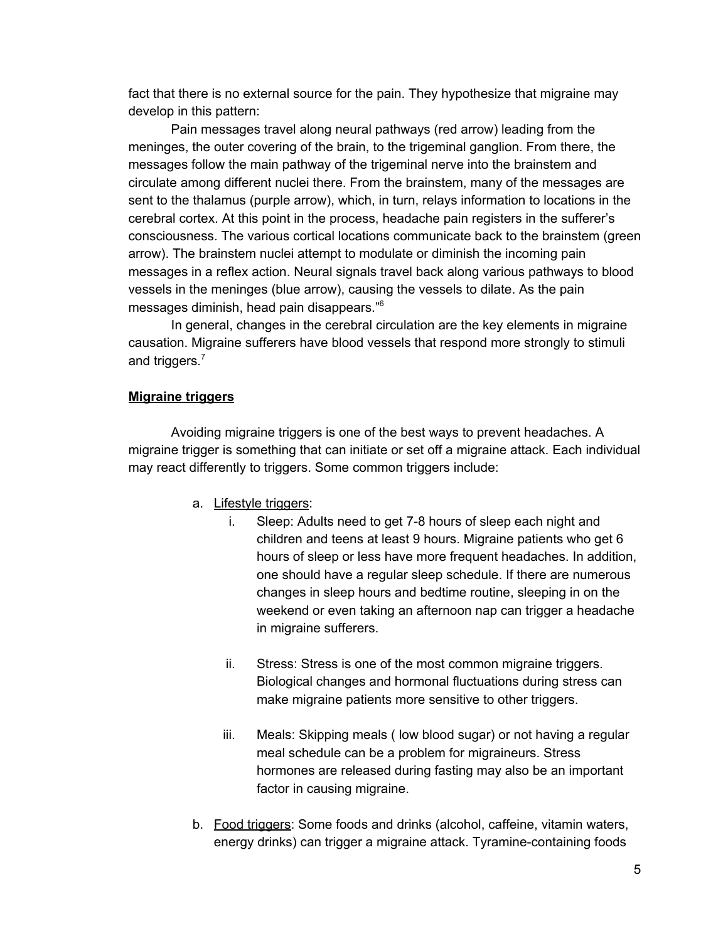fact that there is no external source for the pain. They hypothesize that migraine may develop in this pattern:

Pain messages travel along neural pathways (red arrow) leading from the meninges, the outer covering of the brain, to the trigeminal ganglion. From there, the messages follow the main pathway of the trigeminal nerve into the brainstem and circulate among different nuclei there. From the brainstem, many of the messages are sent to the thalamus (purple arrow), which, in turn, relays information to locations in the cerebral cortex. At this point in the process, headache pain registers in the sufferer's consciousness. The various cortical locations communicate back to the brainstem (green arrow). The brainstem nuclei attempt to modulate or diminish the incoming pain messages in a reflex action. Neural signals travel back along various pathways to blood vessels in the meninges (blue arrow), causing the vessels to dilate. As the pain messages diminish, head pain disappears." 6

In general, changes in the cerebral circulation are the key elements in migraine causation. Migraine sufferers have blood vessels that respond more strongly to stimuli and triggers.<sup>7</sup>

#### **Migraine triggers**

Avoiding migraine triggers is one of the best ways to prevent headaches. A migraine trigger is something that can initiate or set off a migraine attack. Each individual may react differently to triggers. Some common triggers include:

- a. Lifestyle triggers:
	- i. Sleep: Adults need to get 7-8 hours of sleep each night and children and teens at least 9 hours. Migraine patients who get 6 hours of sleep or less have more frequent headaches. In addition, one should have a regular sleep schedule. If there are numerous changes in sleep hours and bedtime routine, sleeping in on the weekend or even taking an afternoon nap can trigger a headache in migraine sufferers.
	- ii. Stress: Stress is one of the most common migraine triggers. Biological changes and hormonal fluctuations during stress can make migraine patients more sensitive to other triggers.
	- iii. Meals: Skipping meals ( low blood sugar) or not having a regular meal schedule can be a problem for migraineurs. Stress hormones are released during fasting may also be an important factor in causing migraine.
- b. Food triggers: Some foods and drinks (alcohol, caffeine, vitamin waters, energy drinks) can trigger a migraine attack. Tyramine-containing foods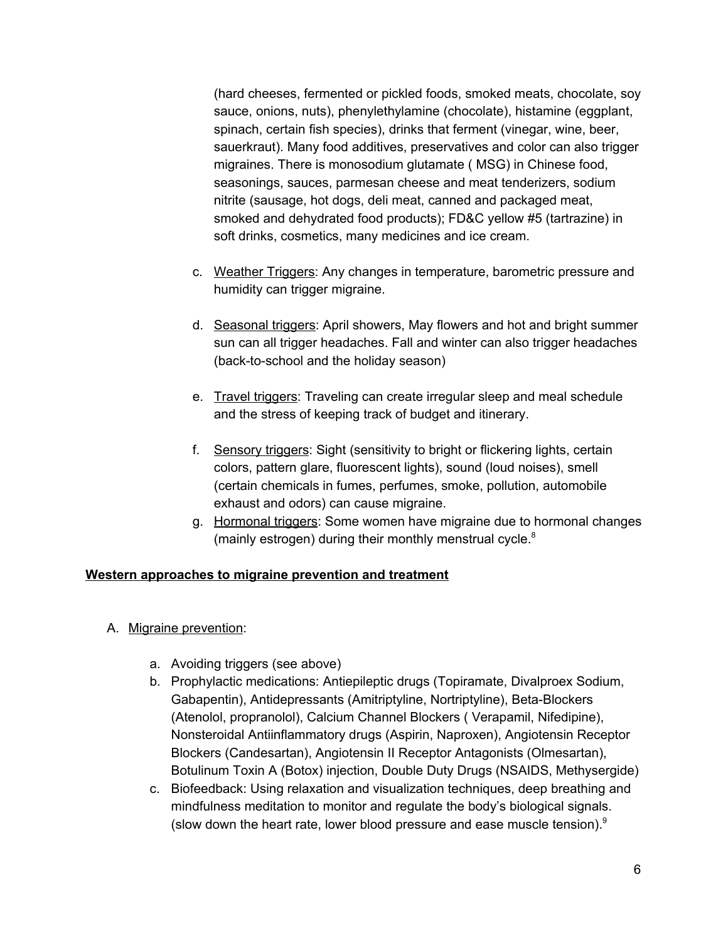(hard cheeses, fermented or pickled foods, smoked meats, chocolate, soy sauce, onions, nuts), phenylethylamine (chocolate), histamine (eggplant, spinach, certain fish species), drinks that ferment (vinegar, wine, beer, sauerkraut). Many food additives, preservatives and color can also trigger migraines. There is monosodium glutamate ( MSG) in Chinese food, seasonings, sauces, parmesan cheese and meat tenderizers, sodium nitrite (sausage, hot dogs, deli meat, canned and packaged meat, smoked and dehydrated food products); FD&C yellow #5 (tartrazine) in soft drinks, cosmetics, many medicines and ice cream.

- c. Weather Triggers: Any changes in temperature, barometric pressure and humidity can trigger migraine.
- d. Seasonal triggers: April showers, May flowers and hot and bright summer sun can all trigger headaches. Fall and winter can also trigger headaches (back-to-school and the holiday season)
- e. Travel triggers: Traveling can create irregular sleep and meal schedule and the stress of keeping track of budget and itinerary.
- f. Sensory triggers: Sight (sensitivity to bright or flickering lights, certain colors, pattern glare, fluorescent lights), sound (loud noises), smell (certain chemicals in fumes, perfumes, smoke, pollution, automobile exhaust and odors) can cause migraine.
- g. Hormonal triggers: Some women have migraine due to hormonal changes (mainly estrogen) during their monthly menstrual cycle.<sup>8</sup>

#### **Western approaches to migraine prevention and treatment**

- A. Migraine prevention:
	- a. Avoiding triggers (see above)
	- b. Prophylactic medications: Antiepileptic drugs (Topiramate, Divalproex Sodium, Gabapentin), Antidepressants (Amitriptyline, Nortriptyline), Beta-Blockers (Atenolol, propranolol), Calcium Channel Blockers ( Verapamil, Nifedipine), Nonsteroidal Antiinflammatory drugs (Aspirin, Naproxen), Angiotensin Receptor Blockers (Candesartan), Angiotensin II Receptor Antagonists (Olmesartan), Botulinum Toxin A (Botox) injection, Double Duty Drugs (NSAIDS, Methysergide)
	- c. Biofeedback: Using relaxation and visualization techniques, deep breathing and mindfulness meditation to monitor and regulate the body's biological signals. (slow down the heart rate, lower blood pressure and ease muscle tension). 9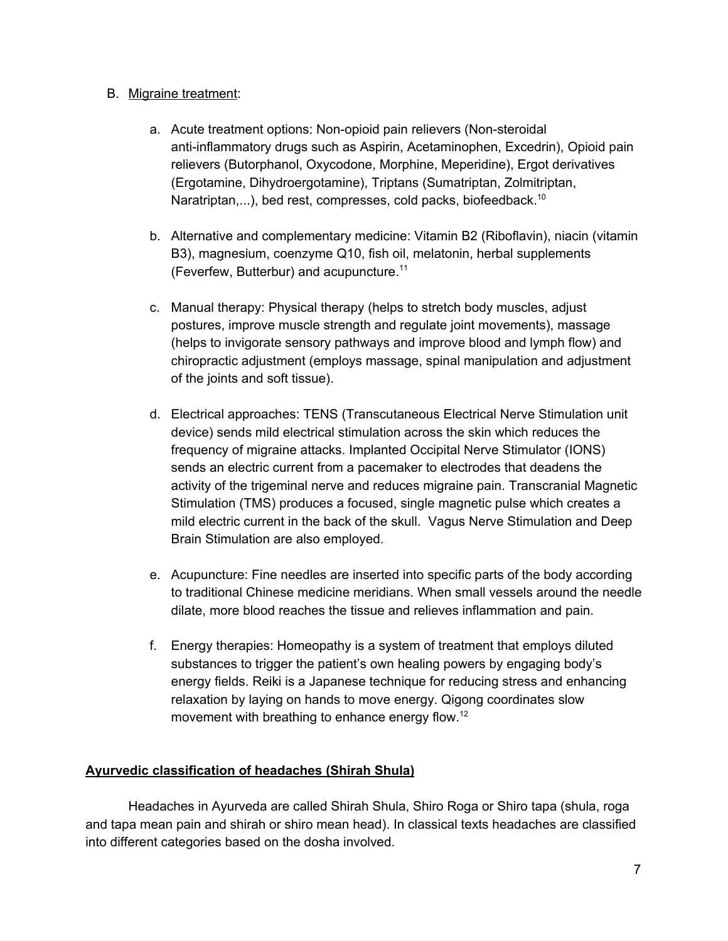#### B. Migraine treatment:

- a. Acute treatment options: Non-opioid pain relievers (Non-steroidal anti-inflammatory drugs such as Aspirin, Acetaminophen, Excedrin), Opioid pain relievers (Butorphanol, Oxycodone, Morphine, Meperidine), Ergot derivatives (Ergotamine, Dihydroergotamine), Triptans (Sumatriptan, Zolmitriptan, Naratriptan,...), bed rest, compresses, cold packs, biofeedback.<sup>10</sup>
- b. Alternative and complementary medicine: Vitamin B2 (Riboflavin), niacin (vitamin B3), magnesium, coenzyme Q10, fish oil, melatonin, herbal supplements (Feverfew, Butterbur) and acupuncture. 11
- c. Manual therapy: Physical therapy (helps to stretch body muscles, adjust postures, improve muscle strength and regulate joint movements), massage (helps to invigorate sensory pathways and improve blood and lymph flow) and chiropractic adjustment (employs massage, spinal manipulation and adjustment of the joints and soft tissue).
- d. Electrical approaches: TENS (Transcutaneous Electrical Nerve Stimulation unit device) sends mild electrical stimulation across the skin which reduces the frequency of migraine attacks. Implanted Occipital Nerve Stimulator (IONS) sends an electric current from a pacemaker to electrodes that deadens the activity of the trigeminal nerve and reduces migraine pain. Transcranial Magnetic Stimulation (TMS) produces a focused, single magnetic pulse which creates a mild electric current in the back of the skull. Vagus Nerve Stimulation and Deep Brain Stimulation are also employed.
- e. Acupuncture: Fine needles are inserted into specific parts of the body according to traditional Chinese medicine meridians. When small vessels around the needle dilate, more blood reaches the tissue and relieves inflammation and pain.
- f. Energy therapies: Homeopathy is a system of treatment that employs diluted substances to trigger the patient's own healing powers by engaging body's energy fields. Reiki is a Japanese technique for reducing stress and enhancing relaxation by laying on hands to move energy. Qigong coordinates slow movement with breathing to enhance energy flow.<sup>12</sup>

## **Ayurvedic classification of headaches (Shirah Shula)**

Headaches in Ayurveda are called Shirah Shula, Shiro Roga or Shiro tapa (shula, roga and tapa mean pain and shirah or shiro mean head). In classical texts headaches are classified into different categories based on the dosha involved.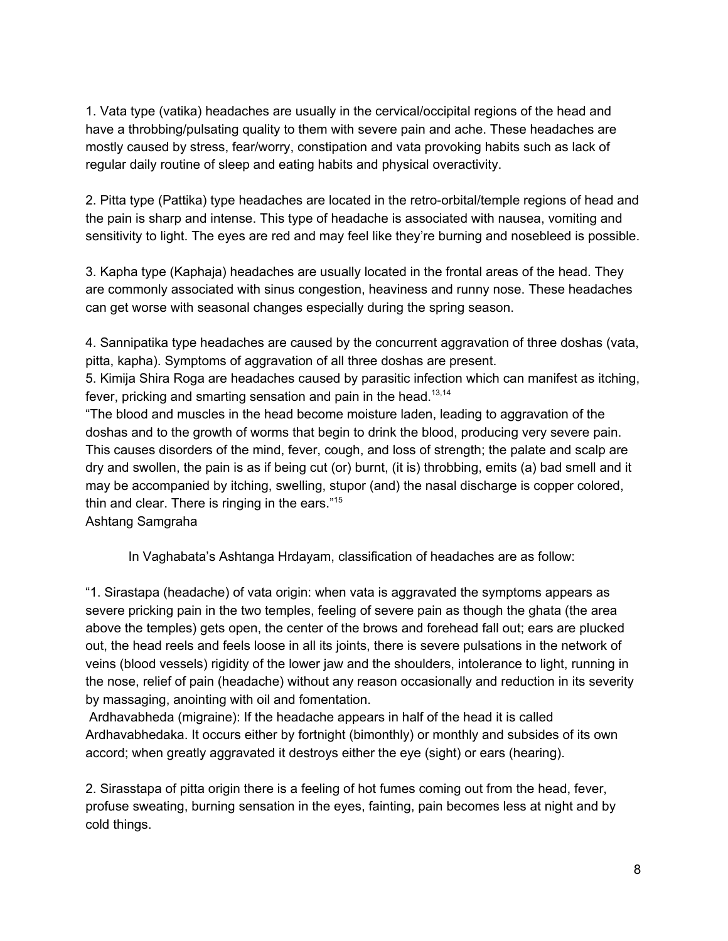1. Vata type (vatika) headaches are usually in the cervical/occipital regions of the head and have a throbbing/pulsating quality to them with severe pain and ache. These headaches are mostly caused by stress, fear/worry, constipation and vata provoking habits such as lack of regular daily routine of sleep and eating habits and physical overactivity.

2. Pitta type (Pattika) type headaches are located in the retro-orbital/temple regions of head and the pain is sharp and intense. This type of headache is associated with nausea, vomiting and sensitivity to light. The eyes are red and may feel like they're burning and nosebleed is possible.

3. Kapha type (Kaphaja) headaches are usually located in the frontal areas of the head. They are commonly associated with sinus congestion, heaviness and runny nose. These headaches can get worse with seasonal changes especially during the spring season.

4. Sannipatika type headaches are caused by the concurrent aggravation of three doshas (vata, pitta, kapha). Symptoms of aggravation of all three doshas are present.

5. Kimija Shira Roga are headaches caused by parasitic infection which can manifest as itching, fever, pricking and smarting sensation and pain in the head.<sup>13,14</sup>

"The blood and muscles in the head become moisture laden, leading to aggravation of the doshas and to the growth of worms that begin to drink the blood, producing very severe pain. This causes disorders of the mind, fever, cough, and loss of strength; the palate and scalp are dry and swollen, the pain is as if being cut (or) burnt, (it is) throbbing, emits (a) bad smell and it may be accompanied by itching, swelling, stupor (and) the nasal discharge is copper colored, thin and clear. There is ringing in the ears."<sup>15</sup>

Ashtang Samgraha

In Vaghabata's Ashtanga Hrdayam, classification of headaches are as follow:

"1. Sirastapa (headache) of vata origin: when vata is aggravated the symptoms appears as severe pricking pain in the two temples, feeling of severe pain as though the ghata (the area above the temples) gets open, the center of the brows and forehead fall out; ears are plucked out, the head reels and feels loose in all its joints, there is severe pulsations in the network of veins (blood vessels) rigidity of the lower jaw and the shoulders, intolerance to light, running in the nose, relief of pain (headache) without any reason occasionally and reduction in its severity by massaging, anointing with oil and fomentation.

Ardhavabheda (migraine): If the headache appears in half of the head it is called Ardhavabhedaka. It occurs either by fortnight (bimonthly) or monthly and subsides of its own accord; when greatly aggravated it destroys either the eye (sight) or ears (hearing).

2. Sirasstapa of pitta origin there is a feeling of hot fumes coming out from the head, fever, profuse sweating, burning sensation in the eyes, fainting, pain becomes less at night and by cold things.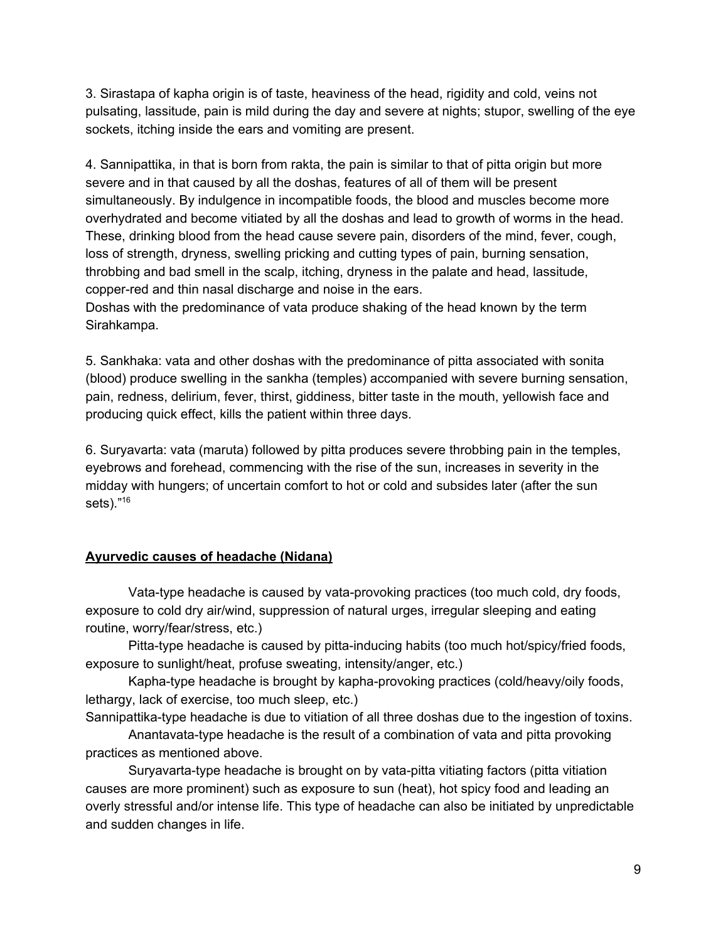3. Sirastapa of kapha origin is of taste, heaviness of the head, rigidity and cold, veins not pulsating, lassitude, pain is mild during the day and severe at nights; stupor, swelling of the eye sockets, itching inside the ears and vomiting are present.

4. Sannipattika, in that is born from rakta, the pain is similar to that of pitta origin but more severe and in that caused by all the doshas, features of all of them will be present simultaneously. By indulgence in incompatible foods, the blood and muscles become more overhydrated and become vitiated by all the doshas and lead to growth of worms in the head. These, drinking blood from the head cause severe pain, disorders of the mind, fever, cough, loss of strength, dryness, swelling pricking and cutting types of pain, burning sensation, throbbing and bad smell in the scalp, itching, dryness in the palate and head, lassitude, copper-red and thin nasal discharge and noise in the ears.

Doshas with the predominance of vata produce shaking of the head known by the term Sirahkampa.

5. Sankhaka: vata and other doshas with the predominance of pitta associated with sonita (blood) produce swelling in the sankha (temples) accompanied with severe burning sensation, pain, redness, delirium, fever, thirst, giddiness, bitter taste in the mouth, yellowish face and producing quick effect, kills the patient within three days.

6. Suryavarta: vata (maruta) followed by pitta produces severe throbbing pain in the temples, eyebrows and forehead, commencing with the rise of the sun, increases in severity in the midday with hungers; of uncertain comfort to hot or cold and subsides later (after the sun sets)." 16

## **Ayurvedic causes of headache (Nidana)**

Vata-type headache is caused by vata-provoking practices (too much cold, dry foods, exposure to cold dry air/wind, suppression of natural urges, irregular sleeping and eating routine, worry/fear/stress, etc.)

Pitta-type headache is caused by pitta-inducing habits (too much hot/spicy/fried foods, exposure to sunlight/heat, profuse sweating, intensity/anger, etc.)

Kapha-type headache is brought by kapha-provoking practices (cold/heavy/oily foods, lethargy, lack of exercise, too much sleep, etc.)

Sannipattika-type headache is due to vitiation of all three doshas due to the ingestion of toxins.

Anantavata-type headache is the result of a combination of vata and pitta provoking practices as mentioned above.

Suryavarta-type headache is brought on by vata-pitta vitiating factors (pitta vitiation causes are more prominent) such as exposure to sun (heat), hot spicy food and leading an overly stressful and/or intense life. This type of headache can also be initiated by unpredictable and sudden changes in life.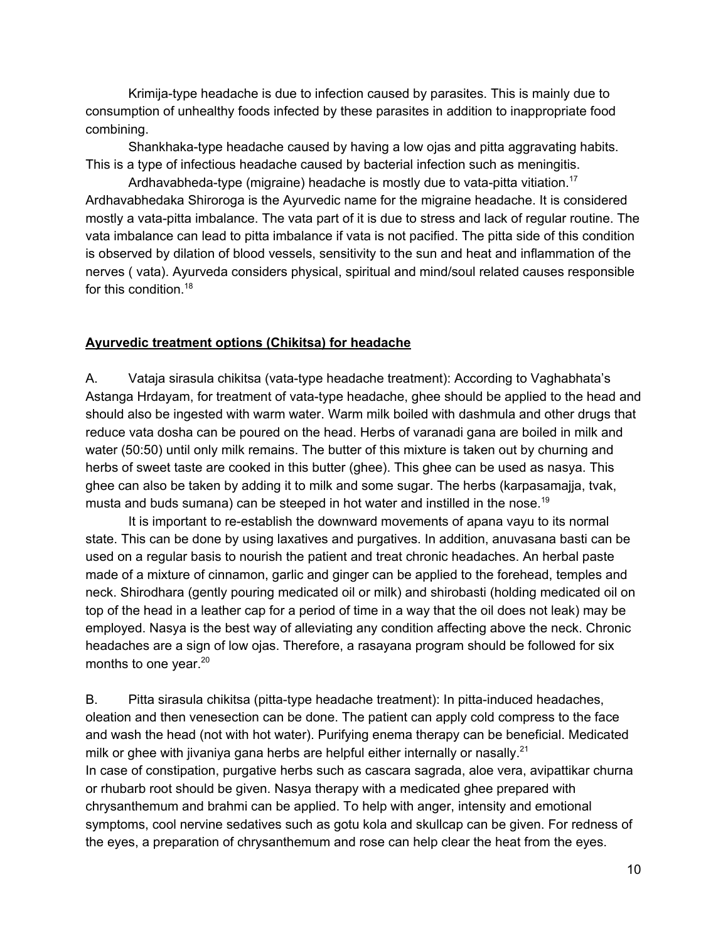Krimija-type headache is due to infection caused by parasites. This is mainly due to consumption of unhealthy foods infected by these parasites in addition to inappropriate food combining.

Shankhaka-type headache caused by having a low ojas and pitta aggravating habits. This is a type of infectious headache caused by bacterial infection such as meningitis.

Ardhavabheda-type (migraine) headache is mostly due to vata-pitta vitiation.<sup>17</sup> Ardhavabhedaka Shiroroga is the Ayurvedic name for the migraine headache. It is considered mostly a vata-pitta imbalance. The vata part of it is due to stress and lack of regular routine. The vata imbalance can lead to pitta imbalance if vata is not pacified. The pitta side of this condition is observed by dilation of blood vessels, sensitivity to the sun and heat and inflammation of the nerves ( vata). Ayurveda considers physical, spiritual and mind/soul related causes responsible for this condition. 18

#### **Ayurvedic treatment options (Chikitsa) for headache**

A. Vataja sirasula chikitsa (vata-type headache treatment): According to Vaghabhata's Astanga Hrdayam, for treatment of vata-type headache, ghee should be applied to the head and should also be ingested with warm water. Warm milk boiled with dashmula and other drugs that reduce vata dosha can be poured on the head. Herbs of varanadi gana are boiled in milk and water (50:50) until only milk remains. The butter of this mixture is taken out by churning and herbs of sweet taste are cooked in this butter (ghee). This ghee can be used as nasya. This ghee can also be taken by adding it to milk and some sugar. The herbs (karpasamajja, tvak, musta and buds sumana) can be steeped in hot water and instilled in the nose.<sup>19</sup>

It is important to re-establish the downward movements of apana vayu to its normal state. This can be done by using laxatives and purgatives. In addition, anuvasana basti can be used on a regular basis to nourish the patient and treat chronic headaches. An herbal paste made of a mixture of cinnamon, garlic and ginger can be applied to the forehead, temples and neck. Shirodhara (gently pouring medicated oil or milk) and shirobasti (holding medicated oil on top of the head in a leather cap for a period of time in a way that the oil does not leak) may be employed. Nasya is the best way of alleviating any condition affecting above the neck. Chronic headaches are a sign of low ojas. Therefore, a rasayana program should be followed for six months to one year. 20

B. Pitta sirasula chikitsa (pitta-type headache treatment): In pitta-induced headaches, oleation and then venesection can be done. The patient can apply cold compress to the face and wash the head (not with hot water). Purifying enema therapy can be beneficial. Medicated milk or ghee with jivaniya gana herbs are helpful either internally or nasally. $^{21}$ In case of constipation, purgative herbs such as cascara sagrada, aloe vera, avipattikar churna or rhubarb root should be given. Nasya therapy with a medicated ghee prepared with chrysanthemum and brahmi can be applied. To help with anger, intensity and emotional symptoms, cool nervine sedatives such as gotu kola and skullcap can be given. For redness of the eyes, a preparation of chrysanthemum and rose can help clear the heat from the eyes.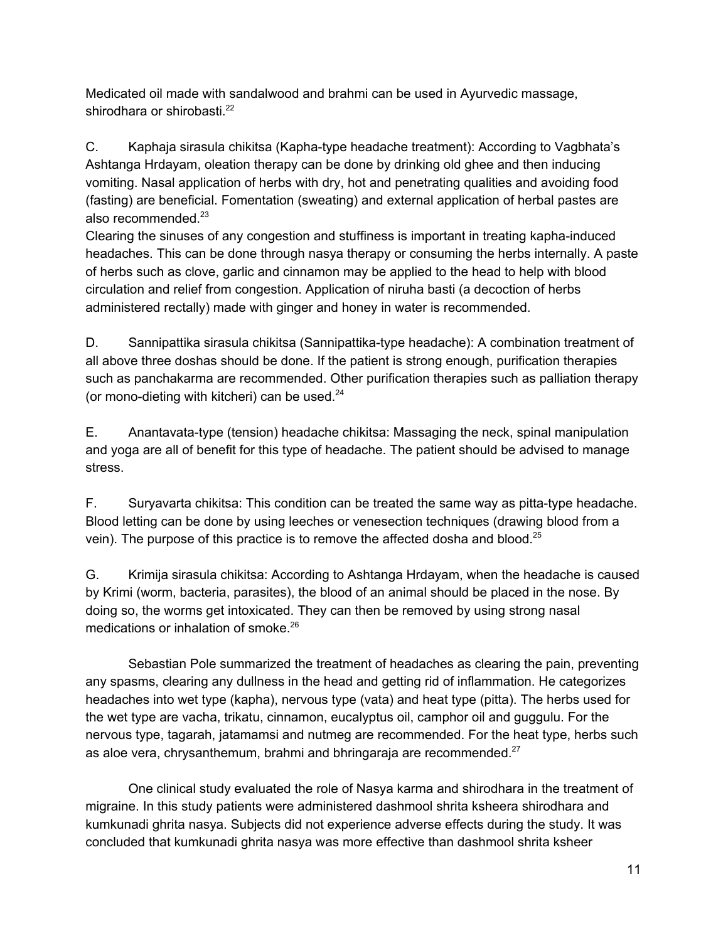Medicated oil made with sandalwood and brahmi can be used in Ayurvedic massage, shirodhara or shirobasti.<sup>22</sup>

C. Kaphaja sirasula chikitsa (Kapha-type headache treatment): According to Vagbhata's Ashtanga Hrdayam, oleation therapy can be done by drinking old ghee and then inducing vomiting. Nasal application of herbs with dry, hot and penetrating qualities and avoiding food (fasting) are beneficial. Fomentation (sweating) and external application of herbal pastes are also recommended. 23

Clearing the sinuses of any congestion and stuffiness is important in treating kapha-induced headaches. This can be done through nasya therapy or consuming the herbs internally. A paste of herbs such as clove, garlic and cinnamon may be applied to the head to help with blood circulation and relief from congestion. Application of niruha basti (a decoction of herbs administered rectally) made with ginger and honey in water is recommended.

D. Sannipattika sirasula chikitsa (Sannipattika-type headache): A combination treatment of all above three doshas should be done. If the patient is strong enough, purification therapies such as panchakarma are recommended. Other purification therapies such as palliation therapy (or mono-dieting with kitcheri) can be used.<sup>24</sup>

E. Anantavata-type (tension) headache chikitsa: Massaging the neck, spinal manipulation and yoga are all of benefit for this type of headache. The patient should be advised to manage stress.

F. Suryavarta chikitsa: This condition can be treated the same way as pitta-type headache. Blood letting can be done by using leeches or venesection techniques (drawing blood from a vein). The purpose of this practice is to remove the affected dosha and blood. $25$ 

G. Krimija sirasula chikitsa: According to Ashtanga Hrdayam, when the headache is caused by Krimi (worm, bacteria, parasites), the blood of an animal should be placed in the nose. By doing so, the worms get intoxicated. They can then be removed by using strong nasal medications or inhalation of smoke. 26

Sebastian Pole summarized the treatment of headaches as clearing the pain, preventing any spasms, clearing any dullness in the head and getting rid of inflammation. He categorizes headaches into wet type (kapha), nervous type (vata) and heat type (pitta). The herbs used for the wet type are vacha, trikatu, cinnamon, eucalyptus oil, camphor oil and guggulu. For the nervous type, tagarah, jatamamsi and nutmeg are recommended. For the heat type, herbs such as aloe vera, chrysanthemum, brahmi and bhringaraja are recommended. $27$ 

One clinical study evaluated the role of Nasya karma and shirodhara in the treatment of migraine. In this study patients were administered dashmool shrita ksheera shirodhara and kumkunadi ghrita nasya. Subjects did not experience adverse effects during the study. It was concluded that kumkunadi ghrita nasya was more effective than dashmool shrita ksheer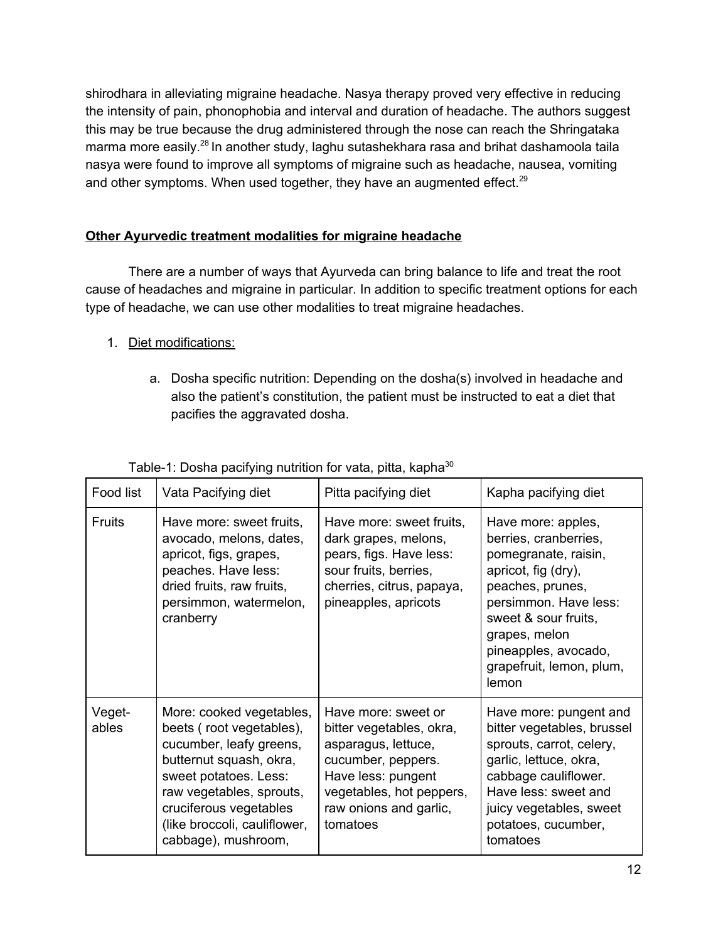shirodhara in alleviating migraine headache. Nasya therapy proved very effective in reducing the intensity of pain, phonophobia and interval and duration of headache. The authors suggest this may be true because the drug administered through the nose can reach the Shringataka marma more easily.<sup>28</sup> In another study, laghu sutashekhara rasa and brihat dashamoola taila nasya were found to improve all symptoms of migraine such as headache, nausea, vomiting and other symptoms. When used together, they have an augmented effect.<sup>29</sup>

## **Other Ayurvedic treatment modalities for migraine headache**

There are a number of ways that Ayurveda can bring balance to life and treat the root cause of headaches and migraine in particular. In addition to specific treatment options for each type of headache, we can use other modalities to treat migraine headaches.

- 1. Diet modifications:
	- a. Dosha specific nutrition: Depending on the dosha(s) involved in headache and also the patient's constitution, the patient must be instructed to eat a diet that pacifies the aggravated dosha.

| Food list       | Vata Pacifying diet                                                                                                                                                                                                                              | Pitta pacifying diet                                                                                                                                                                 | Kapha pacifying diet                                                                                                                                                                                                                          |
|-----------------|--------------------------------------------------------------------------------------------------------------------------------------------------------------------------------------------------------------------------------------------------|--------------------------------------------------------------------------------------------------------------------------------------------------------------------------------------|-----------------------------------------------------------------------------------------------------------------------------------------------------------------------------------------------------------------------------------------------|
| <b>Fruits</b>   | Have more: sweet fruits,<br>avocado, melons, dates,<br>apricot, figs, grapes,<br>peaches. Have less:<br>dried fruits, raw fruits,<br>persimmon, watermelon,<br>cranberry                                                                         | Have more: sweet fruits,<br>dark grapes, melons,<br>pears, figs. Have less:<br>sour fruits, berries,<br>cherries, citrus, papaya,<br>pineapples, apricots                            | Have more: apples,<br>berries, cranberries,<br>pomegranate, raisin,<br>apricot, fig (dry),<br>peaches, prunes,<br>persimmon. Have less:<br>sweet & sour fruits,<br>grapes, melon<br>pineapples, avocado,<br>grapefruit, lemon, plum,<br>lemon |
| Veget-<br>ables | More: cooked vegetables,<br>beets (root vegetables),<br>cucumber, leafy greens,<br>butternut squash, okra,<br>sweet potatoes. Less:<br>raw vegetables, sprouts,<br>cruciferous vegetables<br>(like broccoli, cauliflower,<br>cabbage), mushroom, | Have more: sweet or<br>bitter vegetables, okra,<br>asparagus, lettuce,<br>cucumber, peppers.<br>Have less: pungent<br>vegetables, hot peppers,<br>raw onions and garlic,<br>tomatoes | Have more: pungent and<br>bitter vegetables, brussel<br>sprouts, carrot, celery,<br>garlic, lettuce, okra,<br>cabbage cauliflower.<br>Have less: sweet and<br>juicy vegetables, sweet<br>potatoes, cucumber,<br>tomatoes                      |

Table-1: Dosha pacifying nutrition for vata, pitta, kapha<sup>30</sup>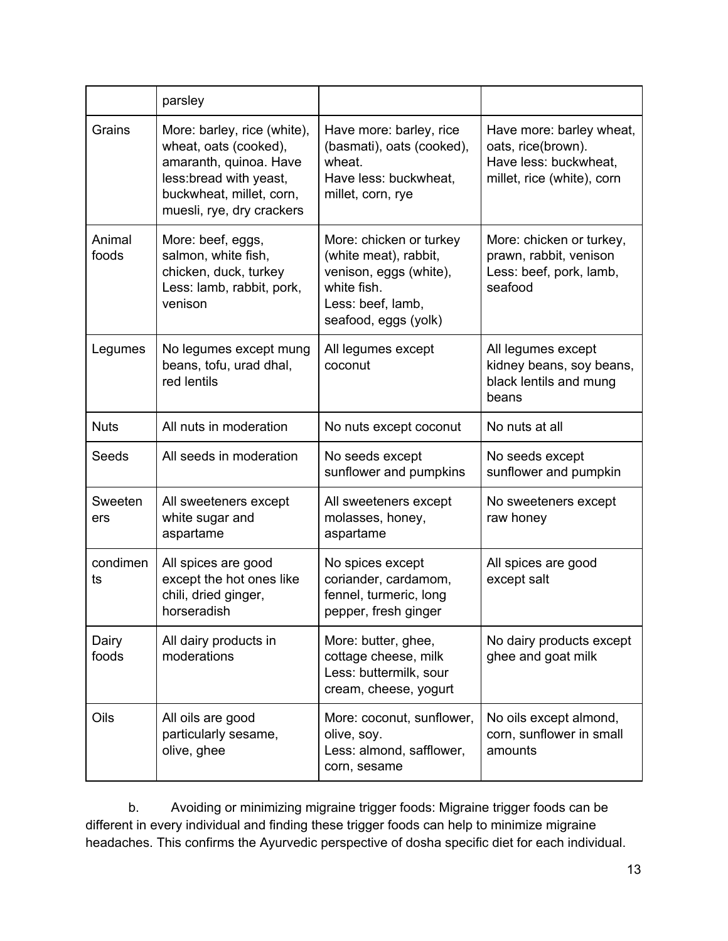|                 | parsley                                                                                                                                                            |                                                                                                                                        |                                                                                                       |
|-----------------|--------------------------------------------------------------------------------------------------------------------------------------------------------------------|----------------------------------------------------------------------------------------------------------------------------------------|-------------------------------------------------------------------------------------------------------|
| Grains          | More: barley, rice (white),<br>wheat, oats (cooked),<br>amaranth, quinoa. Have<br>less: bread with yeast,<br>buckwheat, millet, corn,<br>muesli, rye, dry crackers | Have more: barley, rice<br>(basmati), oats (cooked),<br>wheat.<br>Have less: buckwheat,<br>millet, corn, rye                           | Have more: barley wheat,<br>oats, rice(brown).<br>Have less: buckwheat,<br>millet, rice (white), corn |
| Animal<br>foods | More: beef, eggs,<br>salmon, white fish,<br>chicken, duck, turkey<br>Less: lamb, rabbit, pork,<br>venison                                                          | More: chicken or turkey<br>(white meat), rabbit,<br>venison, eggs (white),<br>white fish.<br>Less: beef, lamb,<br>seafood, eggs (yolk) | More: chicken or turkey,<br>prawn, rabbit, venison<br>Less: beef, pork, lamb,<br>seafood              |
| Legumes         | No legumes except mung<br>beans, tofu, urad dhal,<br>red lentils                                                                                                   | All legumes except<br>coconut                                                                                                          | All legumes except<br>kidney beans, soy beans,<br>black lentils and mung<br>beans                     |
| <b>Nuts</b>     | All nuts in moderation                                                                                                                                             | No nuts except coconut                                                                                                                 | No nuts at all                                                                                        |
| Seeds           | All seeds in moderation                                                                                                                                            | No seeds except<br>sunflower and pumpkins                                                                                              | No seeds except<br>sunflower and pumpkin                                                              |
| Sweeten<br>ers  | All sweeteners except<br>white sugar and<br>aspartame                                                                                                              | All sweeteners except<br>molasses, honey,<br>aspartame                                                                                 | No sweeteners except<br>raw honey                                                                     |
| condimen<br>ts  | All spices are good<br>except the hot ones like<br>chili, dried ginger,<br>horseradish                                                                             | No spices except<br>coriander, cardamom,<br>fennel, turmeric, long<br>pepper, fresh ginger                                             | All spices are good<br>except salt                                                                    |
| Dairy<br>foods  | All dairy products in<br>moderations                                                                                                                               | More: butter, ghee,<br>cottage cheese, milk<br>Less: buttermilk, sour<br>cream, cheese, yogurt                                         | No dairy products except<br>ghee and goat milk                                                        |
| Oils            | All oils are good<br>particularly sesame,<br>olive, ghee                                                                                                           | More: coconut, sunflower,<br>olive, soy.<br>Less: almond, safflower,<br>corn, sesame                                                   | No oils except almond,<br>corn, sunflower in small<br>amounts                                         |

b. Avoiding or minimizing migraine trigger foods: Migraine trigger foods can be different in every individual and finding these trigger foods can help to minimize migraine headaches. This confirms the Ayurvedic perspective of dosha specific diet for each individual.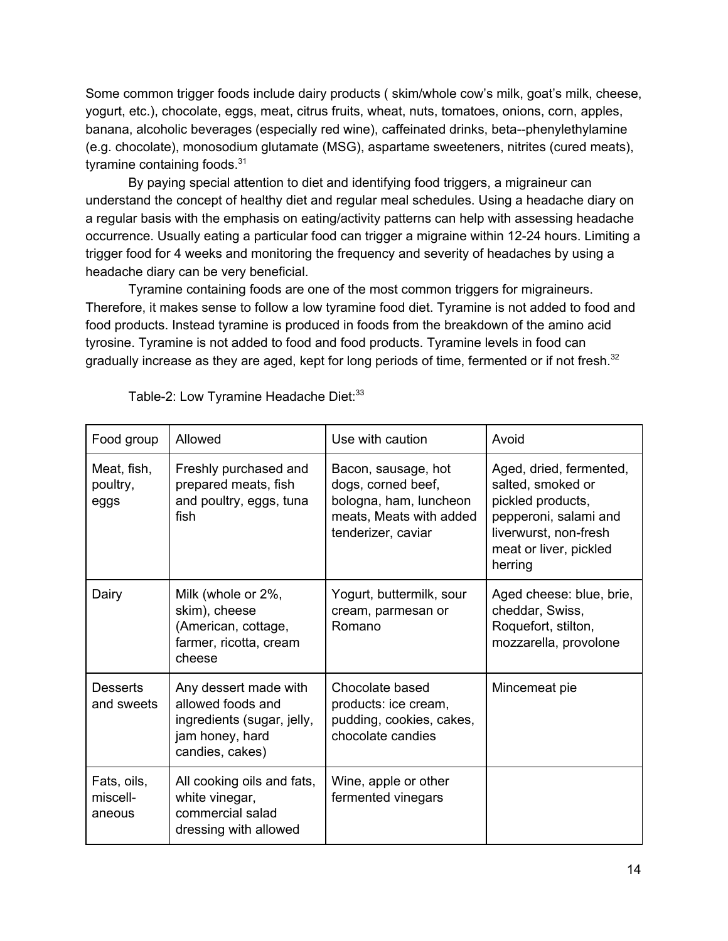Some common trigger foods include dairy products ( skim/whole cow's milk, goat's milk, cheese, yogurt, etc.), chocolate, eggs, meat, citrus fruits, wheat, nuts, tomatoes, onions, corn, apples, banana, alcoholic beverages (especially red wine), caffeinated drinks, beta--phenylethylamine (e.g. chocolate), monosodium glutamate (MSG), aspartame sweeteners, nitrites (cured meats), tyramine containing foods.<sup>31</sup>

By paying special attention to diet and identifying food triggers, a migraineur can understand the concept of healthy diet and regular meal schedules. Using a headache diary on a regular basis with the emphasis on eating/activity patterns can help with assessing headache occurrence. Usually eating a particular food can trigger a migraine within 12-24 hours. Limiting a trigger food for 4 weeks and monitoring the frequency and severity of headaches by using a headache diary can be very beneficial.

Tyramine containing foods are one of the most common triggers for migraineurs. Therefore, it makes sense to follow a low tyramine food diet. Tyramine is not added to food and food products. Instead tyramine is produced in foods from the breakdown of the amino acid tyrosine. Tyramine is not added to food and food products. Tyramine levels in food can gradually increase as they are aged, kept for long periods of time, fermented or if not fresh.<sup>32</sup>

| Food group                        | Allowed                                                                                                        | Use with caution                                                                                                     | Avoid                                                                                                                                                    |
|-----------------------------------|----------------------------------------------------------------------------------------------------------------|----------------------------------------------------------------------------------------------------------------------|----------------------------------------------------------------------------------------------------------------------------------------------------------|
| Meat, fish,<br>poultry,<br>eggs   | Freshly purchased and<br>prepared meats, fish<br>and poultry, eggs, tuna<br>fish                               | Bacon, sausage, hot<br>dogs, corned beef,<br>bologna, ham, luncheon<br>meats, Meats with added<br>tenderizer, caviar | Aged, dried, fermented,<br>salted, smoked or<br>pickled products,<br>pepperoni, salami and<br>liverwurst, non-fresh<br>meat or liver, pickled<br>herring |
| Dairy                             | Milk (whole or 2%,<br>skim), cheese<br>(American, cottage,<br>farmer, ricotta, cream<br>cheese                 | Yogurt, buttermilk, sour<br>cream, parmesan or<br>Romano                                                             | Aged cheese: blue, brie,<br>cheddar, Swiss,<br>Roquefort, stilton,<br>mozzarella, provolone                                                              |
| <b>Desserts</b><br>and sweets     | Any dessert made with<br>allowed foods and<br>ingredients (sugar, jelly,<br>jam honey, hard<br>candies, cakes) | Chocolate based<br>products: ice cream,<br>pudding, cookies, cakes,<br>chocolate candies                             | Mincemeat pie                                                                                                                                            |
| Fats, oils,<br>miscell-<br>aneous | All cooking oils and fats,<br>white vinegar,<br>commercial salad<br>dressing with allowed                      | Wine, apple or other<br>fermented vinegars                                                                           |                                                                                                                                                          |

Table-2: Low Tyramine Headache Diet:<sup>33</sup>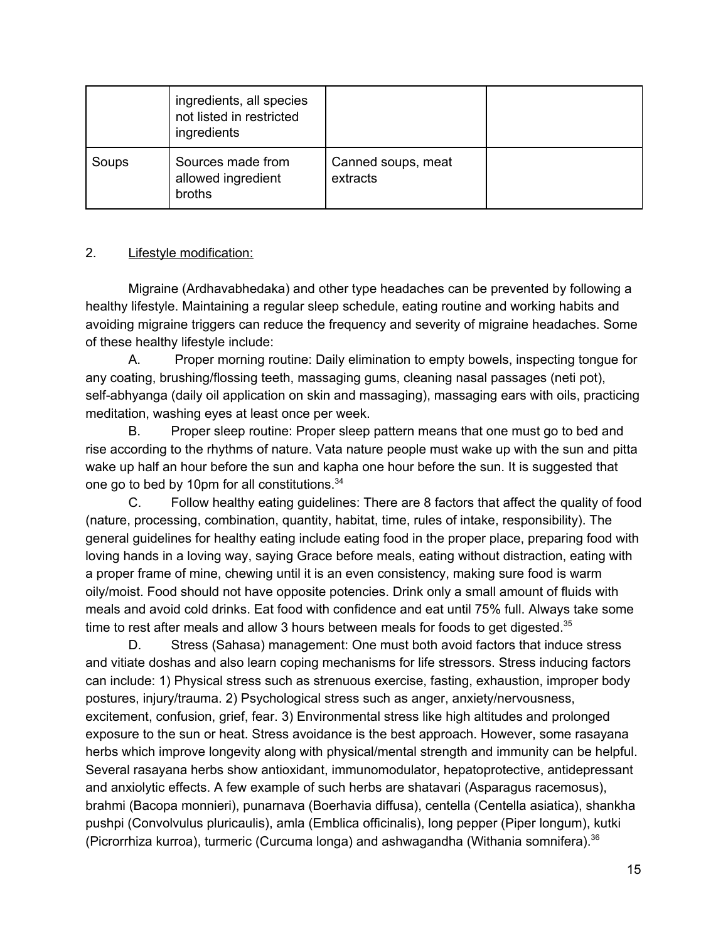|       | ingredients, all species<br>not listed in restricted<br>ingredients |                                |  |
|-------|---------------------------------------------------------------------|--------------------------------|--|
| Soups | Sources made from<br>allowed ingredient<br>broths                   | Canned soups, meat<br>extracts |  |

## 2. Lifestyle modification:

Migraine (Ardhavabhedaka) and other type headaches can be prevented by following a healthy lifestyle. Maintaining a regular sleep schedule, eating routine and working habits and avoiding migraine triggers can reduce the frequency and severity of migraine headaches. Some of these healthy lifestyle include:

A. Proper morning routine: Daily elimination to empty bowels, inspecting tongue for any coating, brushing/flossing teeth, massaging gums, cleaning nasal passages (neti pot), self-abhyanga (daily oil application on skin and massaging), massaging ears with oils, practicing meditation, washing eyes at least once per week.

B. Proper sleep routine: Proper sleep pattern means that one must go to bed and rise according to the rhythms of nature. Vata nature people must wake up with the sun and pitta wake up half an hour before the sun and kapha one hour before the sun. It is suggested that one go to bed by 10pm for all constitutions.<sup>34</sup>

C. Follow healthy eating guidelines: There are 8 factors that affect the quality of food (nature, processing, combination, quantity, habitat, time, rules of intake, responsibility). The general guidelines for healthy eating include eating food in the proper place, preparing food with loving hands in a loving way, saying Grace before meals, eating without distraction, eating with a proper frame of mine, chewing until it is an even consistency, making sure food is warm oily/moist. Food should not have opposite potencies. Drink only a small amount of fluids with meals and avoid cold drinks. Eat food with confidence and eat until 75% full. Always take some time to rest after meals and allow 3 hours between meals for foods to get digested. $35$ 

D. Stress (Sahasa) management: One must both avoid factors that induce stress and vitiate doshas and also learn coping mechanisms for life stressors. Stress inducing factors can include: 1) Physical stress such as strenuous exercise, fasting, exhaustion, improper body postures, injury/trauma. 2) Psychological stress such as anger, anxiety/nervousness, excitement, confusion, grief, fear. 3) Environmental stress like high altitudes and prolonged exposure to the sun or heat. Stress avoidance is the best approach. However, some rasayana herbs which improve longevity along with physical/mental strength and immunity can be helpful. Several rasayana herbs show antioxidant, immunomodulator, hepatoprotective, antidepressant and anxiolytic effects. A few example of such herbs are shatavari (Asparagus racemosus), brahmi (Bacopa monnieri), punarnava (Boerhavia diffusa), centella (Centella asiatica), shankha pushpi (Convolvulus pluricaulis), amla (Emblica officinalis), long pepper (Piper longum), kutki (Picrorrhiza kurroa), turmeric (Curcuma longa) and ashwagandha (Withania somnifera).<sup>36</sup>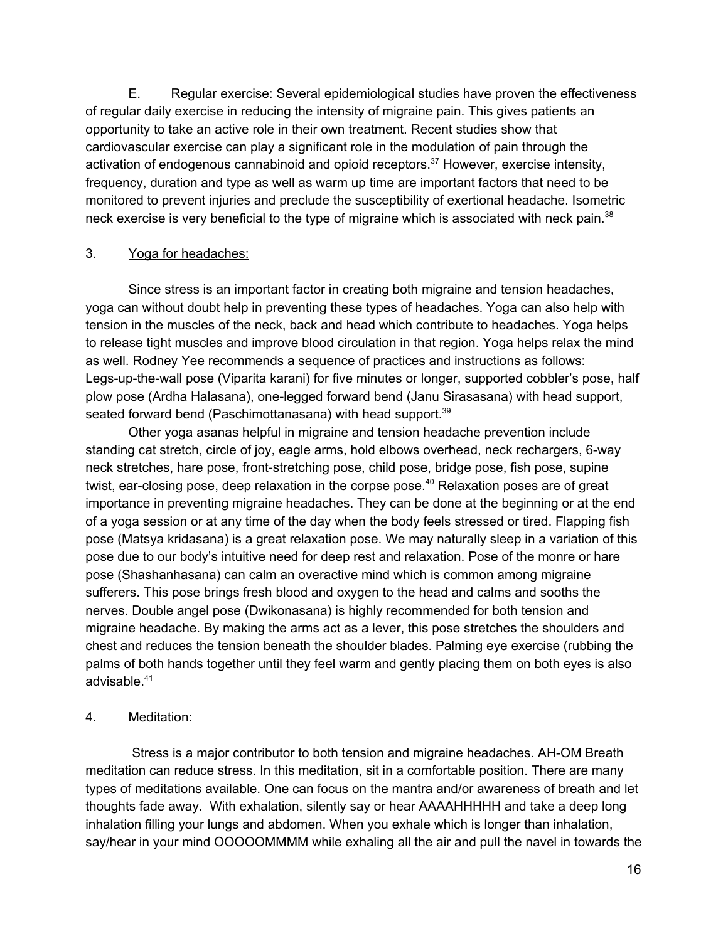E. Regular exercise: Several epidemiological studies have proven the effectiveness of regular daily exercise in reducing the intensity of migraine pain. This gives patients an opportunity to take an active role in their own treatment. Recent studies show that cardiovascular exercise can play a significant role in the modulation of pain through the activation of endogenous cannabinoid and opioid receptors.<sup>37</sup> However, exercise intensity, frequency, duration and type as well as warm up time are important factors that need to be monitored to prevent injuries and preclude the susceptibility of exertional headache. Isometric neck exercise is very beneficial to the type of migraine which is associated with neck pain.<sup>38</sup>

#### 3. Yoga for headaches:

Since stress is an important factor in creating both migraine and tension headaches, yoga can without doubt help in preventing these types of headaches. Yoga can also help with tension in the muscles of the neck, back and head which contribute to headaches. Yoga helps to release tight muscles and improve blood circulation in that region. Yoga helps relax the mind as well. Rodney Yee recommends a sequence of practices and instructions as follows: Legs-up-the-wall pose (Viparita karani) for five minutes or longer, supported cobbler's pose, half plow pose (Ardha Halasana), one-legged forward bend (Janu Sirasasana) with head support, seated forward bend (Paschimottanasana) with head support.<sup>39</sup>

Other yoga asanas helpful in migraine and tension headache prevention include standing cat stretch, circle of joy, eagle arms, hold elbows overhead, neck rechargers, 6-way neck stretches, hare pose, front-stretching pose, child pose, bridge pose, fish pose, supine twist, ear-closing pose, deep relaxation in the corpse pose.<sup>40</sup> Relaxation poses are of great importance in preventing migraine headaches. They can be done at the beginning or at the end of a yoga session or at any time of the day when the body feels stressed or tired. Flapping fish pose (Matsya kridasana) is a great relaxation pose. We may naturally sleep in a variation of this pose due to our body's intuitive need for deep rest and relaxation. Pose of the monre or hare pose (Shashanhasana) can calm an overactive mind which is common among migraine sufferers. This pose brings fresh blood and oxygen to the head and calms and sooths the nerves. Double angel pose (Dwikonasana) is highly recommended for both tension and migraine headache. By making the arms act as a lever, this pose stretches the shoulders and chest and reduces the tension beneath the shoulder blades. Palming eye exercise (rubbing the palms of both hands together until they feel warm and gently placing them on both eyes is also advisable. 41

## 4. Meditation:

Stress is a major contributor to both tension and migraine headaches. AH-OM Breath meditation can reduce stress. In this meditation, sit in a comfortable position. There are many types of meditations available. One can focus on the mantra and/or awareness of breath and let thoughts fade away. With exhalation, silently say or hear AAAAHHHHH and take a deep long inhalation filling your lungs and abdomen. When you exhale which is longer than inhalation, say/hear in your mind OOOOOMMMM while exhaling all the air and pull the navel in towards the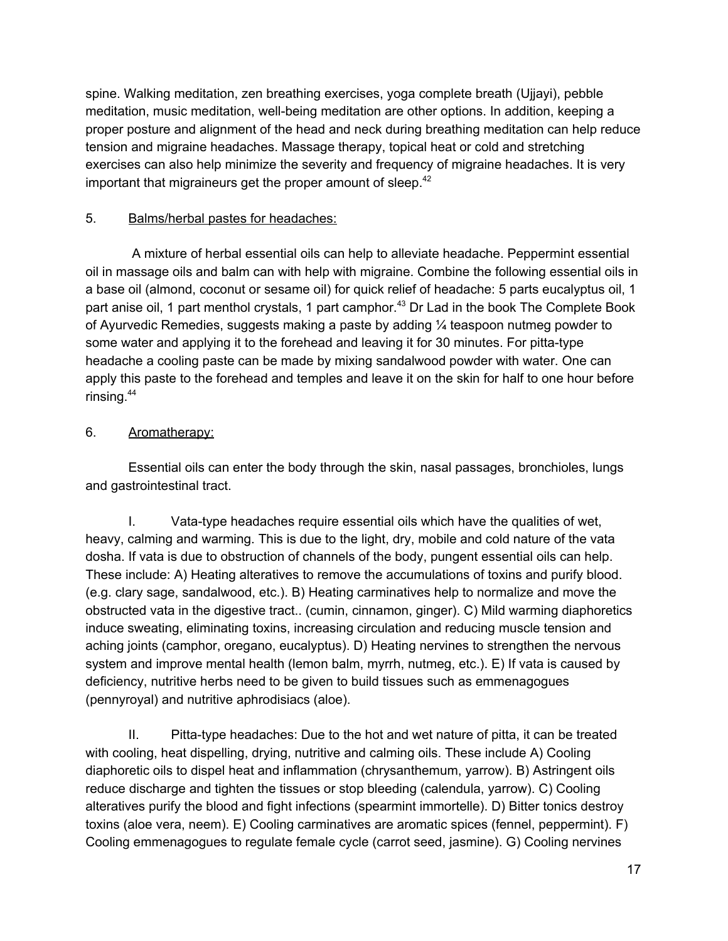spine. Walking meditation, zen breathing exercises, yoga complete breath (Ujjayi), pebble meditation, music meditation, well-being meditation are other options. In addition, keeping a proper posture and alignment of the head and neck during breathing meditation can help reduce tension and migraine headaches. Massage therapy, topical heat or cold and stretching exercises can also help minimize the severity and frequency of migraine headaches. It is very important that migraineurs get the proper amount of sleep.<sup>42</sup>

## 5. Balms/herbal pastes for headaches:

A mixture of herbal essential oils can help to alleviate headache. Peppermint essential oil in massage oils and balm can with help with migraine. Combine the following essential oils in a base oil (almond, coconut or sesame oil) for quick relief of headache: 5 parts eucalyptus oil, 1 part anise oil, 1 part menthol crystals, 1 part camphor.<sup>43</sup> Dr Lad in the book The Complete Book of Ayurvedic Remedies, suggests making a paste by adding  $\frac{1}{4}$  teaspoon nutmeg powder to some water and applying it to the forehead and leaving it for 30 minutes. For pitta-type headache a cooling paste can be made by mixing sandalwood powder with water. One can apply this paste to the forehead and temples and leave it on the skin for half to one hour before rinsing. 44

## 6. Aromatherapy:

Essential oils can enter the body through the skin, nasal passages, bronchioles, lungs and gastrointestinal tract.

I. Vata-type headaches require essential oils which have the qualities of wet, heavy, calming and warming. This is due to the light, dry, mobile and cold nature of the vata dosha. If vata is due to obstruction of channels of the body, pungent essential oils can help. These include: A) Heating alteratives to remove the accumulations of toxins and purify blood. (e.g. clary sage, sandalwood, etc.). B) Heating carminatives help to normalize and move the obstructed vata in the digestive tract.. (cumin, cinnamon, ginger). C) Mild warming diaphoretics induce sweating, eliminating toxins, increasing circulation and reducing muscle tension and aching joints (camphor, oregano, eucalyptus). D) Heating nervines to strengthen the nervous system and improve mental health (lemon balm, myrrh, nutmeg, etc.). E) If vata is caused by deficiency, nutritive herbs need to be given to build tissues such as emmenagogues (pennyroyal) and nutritive aphrodisiacs (aloe).

II. Pitta-type headaches: Due to the hot and wet nature of pitta, it can be treated with cooling, heat dispelling, drying, nutritive and calming oils. These include A) Cooling diaphoretic oils to dispel heat and inflammation (chrysanthemum, yarrow). B) Astringent oils reduce discharge and tighten the tissues or stop bleeding (calendula, yarrow). C) Cooling alteratives purify the blood and fight infections (spearmint immortelle). D) Bitter tonics destroy toxins (aloe vera, neem). E) Cooling carminatives are aromatic spices (fennel, peppermint). F) Cooling emmenagogues to regulate female cycle (carrot seed, jasmine). G) Cooling nervines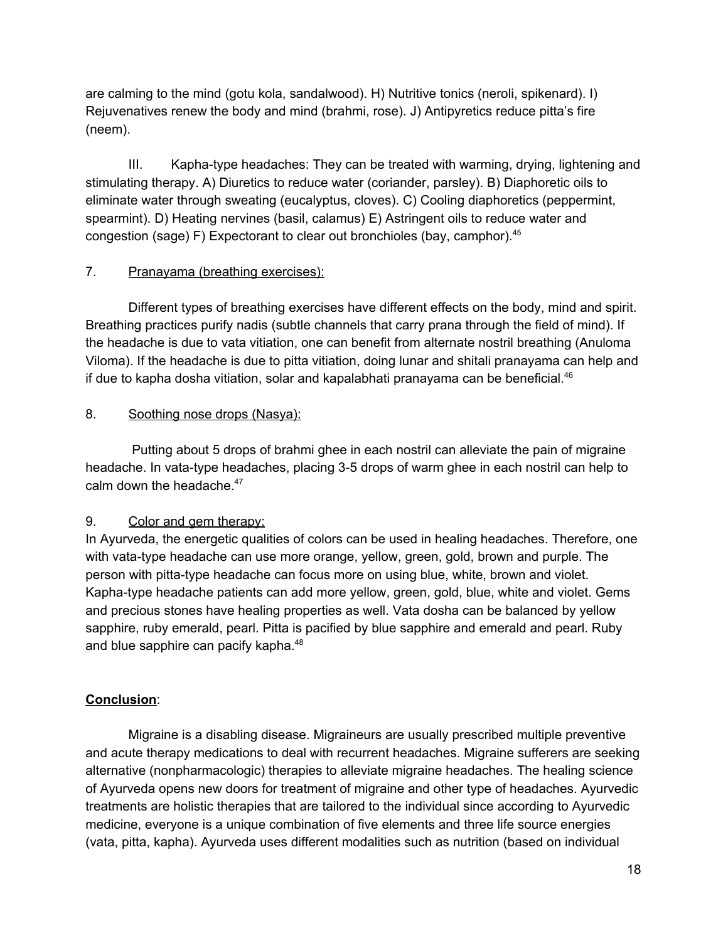are calming to the mind (gotu kola, sandalwood). H) Nutritive tonics (neroli, spikenard). I) Rejuvenatives renew the body and mind (brahmi, rose). J) Antipyretics reduce pitta's fire (neem).

III. Kapha-type headaches: They can be treated with warming, drying, lightening and stimulating therapy. A) Diuretics to reduce water (coriander, parsley). B) Diaphoretic oils to eliminate water through sweating (eucalyptus, cloves). C) Cooling diaphoretics (peppermint, spearmint). D) Heating nervines (basil, calamus) E) Astringent oils to reduce water and congestion (sage) F) Expectorant to clear out bronchioles (bay, camphor). 45

## 7. Pranayama (breathing exercises):

Different types of breathing exercises have different effects on the body, mind and spirit. Breathing practices purify nadis (subtle channels that carry prana through the field of mind). If the headache is due to vata vitiation, one can benefit from alternate nostril breathing (Anuloma Viloma). If the headache is due to pitta vitiation, doing lunar and shitali pranayama can help and if due to kapha dosha vitiation, solar and kapalabhati pranayama can be beneficial. $^{46}$ 

## 8. Soothing nose drops (Nasya):

Putting about 5 drops of brahmi ghee in each nostril can alleviate the pain of migraine headache. In vata-type headaches, placing 3-5 drops of warm ghee in each nostril can help to calm down the headache. 47

## 9. Color and gem therapy:

In Ayurveda, the energetic qualities of colors can be used in healing headaches. Therefore, one with vata-type headache can use more orange, yellow, green, gold, brown and purple. The person with pitta-type headache can focus more on using blue, white, brown and violet. Kapha-type headache patients can add more yellow, green, gold, blue, white and violet. Gems and precious stones have healing properties as well. Vata dosha can be balanced by yellow sapphire, ruby emerald, pearl. Pitta is pacified by blue sapphire and emerald and pearl. Ruby and blue sapphire can pacify kapha.<sup>48</sup>

# **Conclusion**:

Migraine is a disabling disease. Migraineurs are usually prescribed multiple preventive and acute therapy medications to deal with recurrent headaches. Migraine sufferers are seeking alternative (nonpharmacologic) therapies to alleviate migraine headaches. The healing science of Ayurveda opens new doors for treatment of migraine and other type of headaches. Ayurvedic treatments are holistic therapies that are tailored to the individual since according to Ayurvedic medicine, everyone is a unique combination of five elements and three life source energies (vata, pitta, kapha). Ayurveda uses different modalities such as nutrition (based on individual